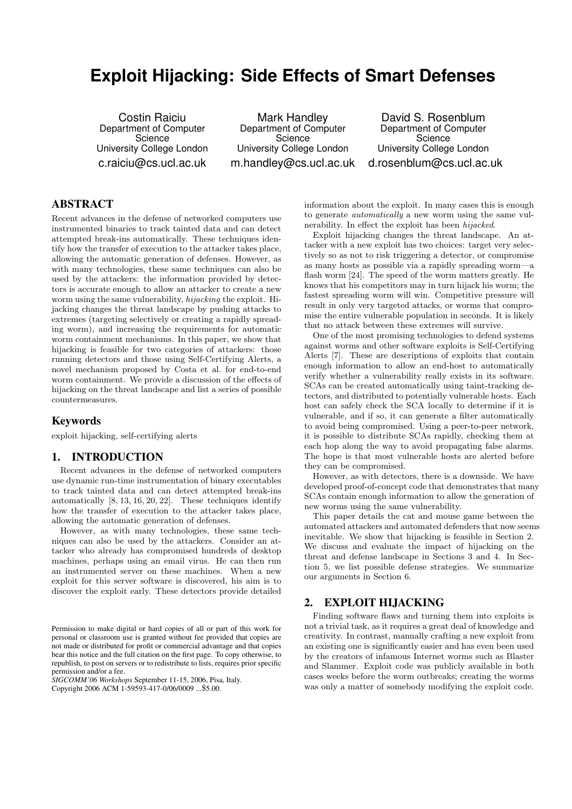# **Exploit Hijacking: Side Effects of Smart Defenses**

Costin Raiciu Department of Computer **Science** University College London c.raiciu@cs.ucl.ac.uk

Mark Handley Department of Computer **Science** University College London m.handley@cs.ucl.ac.uk

David S. Rosenblum Department of Computer **Science** University College London d.rosenblum@cs.ucl.ac.uk

# ABSTRACT

Recent advances in the defense of networked computers use instrumented binaries to track tainted data and can detect attempted break-ins automatically. These techniques identify how the transfer of execution to the attacker takes place, allowing the automatic generation of defenses. However, as with many technologies, these same techniques can also be used by the attackers: the information provided by detectors is accurate enough to allow an attacker to create a new worm using the same vulnerability, hijacking the exploit. Hijacking changes the threat landscape by pushing attacks to extremes (targeting selectively or creating a rapidly spreading worm), and increasing the requirements for automatic worm containment mechanisms. In this paper, we show that hijacking is feasible for two categories of attackers: those running detectors and those using Self-Certifying Alerts, a novel mechanism proposed by Costa et al. for end-to-end worm containment. We provide a discussion of the effects of hijacking on the threat landscape and list a series of possible countermeasures.

# Keywords

exploit hijacking, self-certifying alerts

# 1. INTRODUCTION

Recent advances in the defense of networked computers use dynamic run-time instrumentation of binary executables to track tainted data and can detect attempted break-ins automatically [8, 13, 16, 20, 22]. These techniques identify how the transfer of execution to the attacker takes place, allowing the automatic generation of defenses.

However, as with many technologies, these same techniques can also be used by the attackers. Consider an attacker who already has compromised hundreds of desktop machines, perhaps using an email virus. He can then run an instrumented server on these machines. When a new exploit for this server software is discovered, his aim is to discover the exploit early. These detectors provide detailed

*SIGCOMM'06 Workshops* September 11-15, 2006, Pisa, Italy.

Copyright 2006 ACM 1-59593-417-0/06/0009 ...\$5.00.

information about the exploit. In many cases this is enough to generate automatically a new worm using the same vulnerability. In effect the exploit has been hijacked.

Exploit hijacking changes the threat landscape. An attacker with a new exploit has two choices: target very selectively so as not to risk triggering a detector, or compromise as many hosts as possible via a rapidly spreading worm—a flash worm [24]. The speed of the worm matters greatly. He knows that his competitors may in turn hijack his worm; the fastest spreading worm will win. Competitive pressure will result in only very targeted attacks, or worms that compromise the entire vulnerable population in seconds. It is likely that no attack between these extremes will survive.

One of the most promising technologies to defend systems against worms and other software exploits is Self-Certifying Alerts [7]. These are descriptions of exploits that contain enough information to allow an end-host to automatically verify whether a vulnerability really exists in its software. SCAs can be created automatically using taint-tracking detectors, and distributed to potentially vulnerable hosts. Each host can safely check the SCA locally to determine if it is vulnerable, and if so, it can generate a filter automatically to avoid being compromised. Using a peer-to-peer network, it is possible to distribute SCAs rapidly, checking them at each hop along the way to avoid propagating false alarms. The hope is that most vulnerable hosts are alerted before they can be compromised.

However, as with detectors, there is a downside. We have developed proof-of-concept code that demonstrates that many SCAs contain enough information to allow the generation of new worms using the same vulnerability.

This paper details the cat and mouse game between the automated attackers and automated defenders that now seems inevitable. We show that hijacking is feasible in Section 2. We discuss and evaluate the impact of hijacking on the threat and defense landscape in Sections 3 and 4. In Section 5, we list possible defense strategies. We summarize our arguments in Section 6.

# 2. EXPLOIT HIJACKING

Finding software flaws and turning them into exploits is not a trivial task, as it requires a great deal of knowledge and creativity. In contrast, manually crafting a new exploit from an existing one is significantly easier and has even been used by the creators of infamous Internet worms such as Blaster and Slammer. Exploit code was publicly available in both cases weeks before the worm outbreaks; creating the worms was only a matter of somebody modifying the exploit code.

Permission to make digital or hard copies of all or part of this work for personal or classroom use is granted without fee provided that copies are not made or distributed for profit or commercial advantage and that copies bear this notice and the full citation on the first page. To copy otherwise, to republish, to post on servers or to redistribute to lists, requires prior specific permission and/or a fee.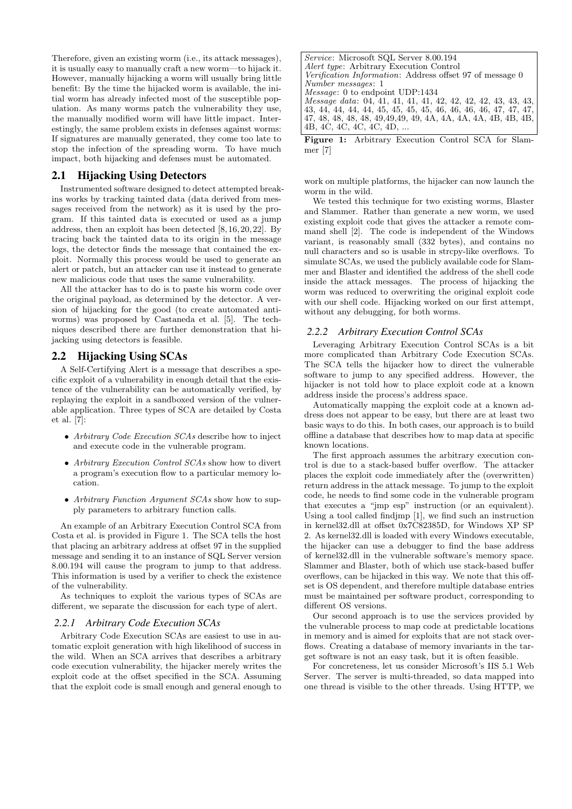Therefore, given an existing worm (i.e., its attack messages), it is usually easy to manually craft a new worm—to hijack it. However, manually hijacking a worm will usually bring little benefit: By the time the hijacked worm is available, the initial worm has already infected most of the susceptible population. As many worms patch the vulnerability they use, the manually modified worm will have little impact. Interestingly, the same problem exists in defenses against worms: If signatures are manually generated, they come too late to stop the infection of the spreading worm. To have much impact, both hijacking and defenses must be automated.

# 2.1 Hijacking Using Detectors

Instrumented software designed to detect attempted breakins works by tracking tainted data (data derived from messages received from the network) as it is used by the program. If this tainted data is executed or used as a jump address, then an exploit has been detected [8, 16, 20, 22]. By tracing back the tainted data to its origin in the message logs, the detector finds the message that contained the exploit. Normally this process would be used to generate an alert or patch, but an attacker can use it instead to generate new malicious code that uses the same vulnerability.

All the attacker has to do is to paste his worm code over the original payload, as determined by the detector. A version of hijacking for the good (to create automated antiworms) was proposed by Castaneda et al. [5]. The techniques described there are further demonstration that hijacking using detectors is feasible.

# 2.2 Hijacking Using SCAs

A Self-Certifying Alert is a message that describes a specific exploit of a vulnerability in enough detail that the existence of the vulnerability can be automatically verified, by replaying the exploit in a sandboxed version of the vulnerable application. Three types of SCA are detailed by Costa et al. [7]:

- Arbitrary Code Execution SCAs describe how to inject and execute code in the vulnerable program.
- Arbitrary Execution Control SCAs show how to divert a program's execution flow to a particular memory location.
- Arbitrary Function Argument SCAs show how to supply parameters to arbitrary function calls.

An example of an Arbitrary Execution Control SCA from Costa et al. is provided in Figure 1. The SCA tells the host that placing an arbitrary address at offset 97 in the supplied message and sending it to an instance of SQL Server version 8.00.194 will cause the program to jump to that address. This information is used by a verifier to check the existence of the vulnerability.

As techniques to exploit the various types of SCAs are different, we separate the discussion for each type of alert.

## *2.2.1 Arbitrary Code Execution SCAs*

Arbitrary Code Execution SCAs are easiest to use in automatic exploit generation with high likelihood of success in the wild. When an SCA arrives that describes a arbitrary code execution vulnerability, the hijacker merely writes the exploit code at the offset specified in the SCA. Assuming that the exploit code is small enough and general enough to

| <i>Service:</i> Microsoft SQL Server 8.00.194                     |
|-------------------------------------------------------------------|
| <i>Alert type:</i> Arbitrary Execution Control                    |
| <i>Verification Information:</i> Address offset 97 of message 0   |
| Number messages: 1                                                |
| <i>Message</i> : 0 to endpoint UDP:1434                           |
| <i>Message data</i> : 04, 41, 41, 41, 41, 42, 42, 42, 43, 43, 43, |
| 43, 44, 44, 44, 44, 45, 45, 45, 45, 46, 46, 46, 46, 47, 47, 47,   |
| 47, 48, 48, 48, 48, 49, 49, 49, 48, 4A, 4A, 4A, 4A, 4B, 4B, 4B,   |
| 4B, 4C, 4C, 4C, 4C, 4D,                                           |
| $\sim$                                                            |

Figure 1: Arbitrary Execution Control SCA for Slammer [7]

work on multiple platforms, the hijacker can now launch the worm in the wild.

We tested this technique for two existing worms, Blaster and Slammer. Rather than generate a new worm, we used existing exploit code that gives the attacker a remote command shell [2]. The code is independent of the Windows variant, is reasonably small (332 bytes), and contains no null characters and so is usable in strcpy-like overflows. To simulate SCAs, we used the publicly available code for Slammer and Blaster and identified the address of the shell code inside the attack messages. The process of hijacking the worm was reduced to overwriting the original exploit code with our shell code. Hijacking worked on our first attempt, without any debugging, for both worms.

#### *2.2.2 Arbitrary Execution Control SCAs*

Leveraging Arbitrary Execution Control SCAs is a bit more complicated than Arbitrary Code Execution SCAs. The SCA tells the hijacker how to direct the vulnerable software to jump to any specified address. However, the hijacker is not told how to place exploit code at a known address inside the process's address space.

Automatically mapping the exploit code at a known address does not appear to be easy, but there are at least two basic ways to do this. In both cases, our approach is to build offline a database that describes how to map data at specific known locations.

The first approach assumes the arbitrary execution control is due to a stack-based buffer overflow. The attacker places the exploit code immediately after the (overwritten) return address in the attack message. To jump to the exploit code, he needs to find some code in the vulnerable program that executes a "jmp esp" instruction (or an equivalent). Using a tool called findjmp [1], we find such an instruction in kernel32.dll at offset 0x7C82385D, for Windows XP SP 2. As kernel32.dll is loaded with every Windows executable, the hijacker can use a debugger to find the base address of kernel32.dll in the vulnerable software's memory space. Slammer and Blaster, both of which use stack-based buffer overflows, can be hijacked in this way. We note that this offset is OS dependent, and therefore multiple database entries must be maintained per software product, corresponding to different OS versions.

Our second approach is to use the services provided by the vulnerable process to map code at predictable locations in memory and is aimed for exploits that are not stack overflows. Creating a database of memory invariants in the target software is not an easy task, but it is often feasible.

For concreteness, let us consider Microsoft's IIS 5.1 Web Server. The server is multi-threaded, so data mapped into one thread is visible to the other threads. Using HTTP, we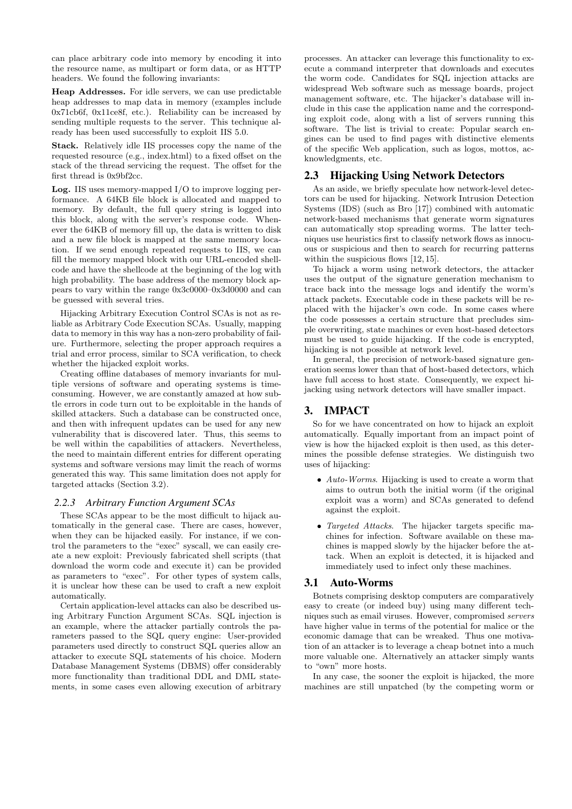can place arbitrary code into memory by encoding it into the resource name, as multipart or form data, or as HTTP headers. We found the following invariants:

Heap Addresses. For idle servers, we can use predictable heap addresses to map data in memory (examples include 0x71cb6f, 0x11ce8f, etc.). Reliability can be increased by sending multiple requests to the server. This technique already has been used successfully to exploit IIS 5.0.

Stack. Relatively idle IIS processes copy the name of the requested resource (e.g., index.html) to a fixed offset on the stack of the thread servicing the request. The offset for the first thread is 0x9bf2cc.

Log. IIS uses memory-mapped I/O to improve logging performance. A 64KB file block is allocated and mapped to memory. By default, the full query string is logged into this block, along with the server's response code. Whenever the 64KB of memory fill up, the data is written to disk and a new file block is mapped at the same memory location. If we send enough repeated requests to IIS, we can fill the memory mapped block with our URL-encoded shellcode and have the shellcode at the beginning of the log with high probability. The base address of the memory block appears to vary within the range 0x3c0000–0x3d0000 and can be guessed with several tries.

Hijacking Arbitrary Execution Control SCAs is not as reliable as Arbitrary Code Execution SCAs. Usually, mapping data to memory in this way has a non-zero probability of failure. Furthermore, selecting the proper approach requires a trial and error process, similar to SCA verification, to check whether the hijacked exploit works.

Creating offline databases of memory invariants for multiple versions of software and operating systems is timeconsuming. However, we are constantly amazed at how subtle errors in code turn out to be exploitable in the hands of skilled attackers. Such a database can be constructed once, and then with infrequent updates can be used for any new vulnerability that is discovered later. Thus, this seems to be well within the capabilities of attackers. Nevertheless, the need to maintain different entries for different operating systems and software versions may limit the reach of worms generated this way. This same limitation does not apply for targeted attacks (Section 3.2).

## *2.2.3 Arbitrary Function Argument SCAs*

These SCAs appear to be the most difficult to hijack automatically in the general case. There are cases, however, when they can be hijacked easily. For instance, if we control the parameters to the "exec" syscall, we can easily create a new exploit: Previously fabricated shell scripts (that download the worm code and execute it) can be provided as parameters to "exec". For other types of system calls, it is unclear how these can be used to craft a new exploit automatically.

Certain application-level attacks can also be described using Arbitrary Function Argument SCAs. SQL injection is an example, where the attacker partially controls the parameters passed to the SQL query engine: User-provided parameters used directly to construct SQL queries allow an attacker to execute SQL statements of his choice. Modern Database Management Systems (DBMS) offer considerably more functionality than traditional DDL and DML statements, in some cases even allowing execution of arbitrary

processes. An attacker can leverage this functionality to execute a command interpreter that downloads and executes the worm code. Candidates for SQL injection attacks are widespread Web software such as message boards, project management software, etc. The hijacker's database will include in this case the application name and the corresponding exploit code, along with a list of servers running this software. The list is trivial to create: Popular search engines can be used to find pages with distinctive elements of the specific Web application, such as logos, mottos, acknowledgments, etc.

# 2.3 Hijacking Using Network Detectors

As an aside, we briefly speculate how network-level detectors can be used for hijacking. Network Intrusion Detection Systems (IDS) (such as Bro [17]) combined with automatic network-based mechanisms that generate worm signatures can automatically stop spreading worms. The latter techniques use heuristics first to classify network flows as innocuous or suspicious and then to search for recurring patterns within the suspicious flows [12, 15].

To hijack a worm using network detectors, the attacker uses the output of the signature generation mechanism to trace back into the message logs and identify the worm's attack packets. Executable code in these packets will be replaced with the hijacker's own code. In some cases where the code possesses a certain structure that precludes simple overwriting, state machines or even host-based detectors must be used to guide hijacking. If the code is encrypted, hijacking is not possible at network level.

In general, the precision of network-based signature generation seems lower than that of host-based detectors, which have full access to host state. Consequently, we expect hijacking using network detectors will have smaller impact.

# 3. IMPACT

So for we have concentrated on how to hijack an exploit automatically. Equally important from an impact point of view is how the hijacked exploit is then used, as this determines the possible defense strategies. We distinguish two uses of hijacking:

- Auto-Worms. Hijacking is used to create a worm that aims to outrun both the initial worm (if the original exploit was a worm) and SCAs generated to defend against the exploit.
- *Targeted Attacks*. The hijacker targets specific machines for infection. Software available on these machines is mapped slowly by the hijacker before the attack. When an exploit is detected, it is hijacked and immediately used to infect only these machines.

# 3.1 Auto-Worms

Botnets comprising desktop computers are comparatively easy to create (or indeed buy) using many different techniques such as email viruses. However, compromised servers have higher value in terms of the potential for malice or the economic damage that can be wreaked. Thus one motivation of an attacker is to leverage a cheap botnet into a much more valuable one. Alternatively an attacker simply wants to "own" more hosts.

In any case, the sooner the exploit is hijacked, the more machines are still unpatched (by the competing worm or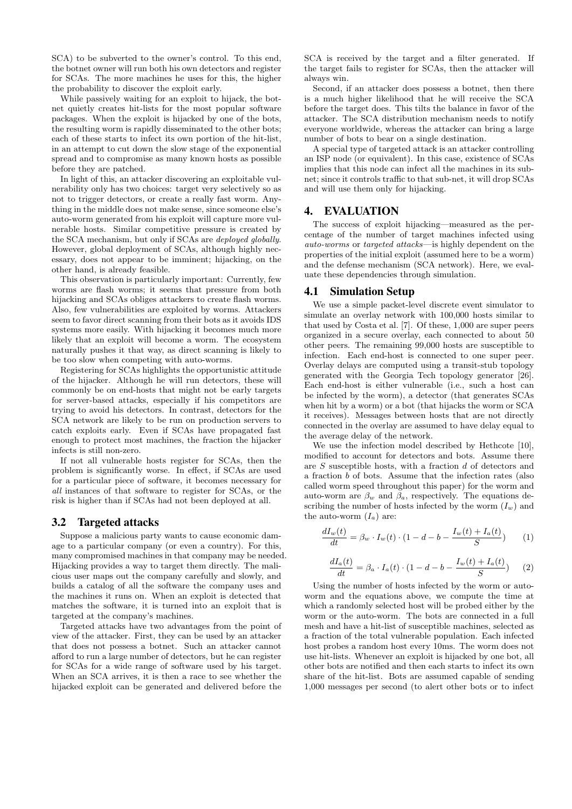SCA) to be subverted to the owner's control. To this end, the botnet owner will run both his own detectors and register for SCAs. The more machines he uses for this, the higher the probability to discover the exploit early.

While passively waiting for an exploit to hijack, the botnet quietly creates hit-lists for the most popular software packages. When the exploit is hijacked by one of the bots, the resulting worm is rapidly disseminated to the other bots; each of these starts to infect its own portion of the hit-list, in an attempt to cut down the slow stage of the exponential spread and to compromise as many known hosts as possible before they are patched.

In light of this, an attacker discovering an exploitable vulnerability only has two choices: target very selectively so as not to trigger detectors, or create a really fast worm. Anything in the middle does not make sense, since someone else's auto-worm generated from his exploit will capture more vulnerable hosts. Similar competitive pressure is created by the SCA mechanism, but only if SCAs are deployed globally. However, global deployment of SCAs, although highly necessary, does not appear to be imminent; hijacking, on the other hand, is already feasible.

This observation is particularly important: Currently, few worms are flash worms; it seems that pressure from both hijacking and SCAs obliges attackers to create flash worms. Also, few vulnerabilities are exploited by worms. Attackers seem to favor direct scanning from their bots as it avoids IDS systems more easily. With hijacking it becomes much more likely that an exploit will become a worm. The ecosystem naturally pushes it that way, as direct scanning is likely to be too slow when competing with auto-worms.

Registering for SCAs highlights the opportunistic attitude of the hijacker. Although he will run detectors, these will commonly be on end-hosts that might not be early targets for server-based attacks, especially if his competitors are trying to avoid his detectors. In contrast, detectors for the SCA network are likely to be run on production servers to catch exploits early. Even if SCAs have propagated fast enough to protect most machines, the fraction the hijacker infects is still non-zero.

If not all vulnerable hosts register for SCAs, then the problem is significantly worse. In effect, if SCAs are used for a particular piece of software, it becomes necessary for all instances of that software to register for SCAs, or the risk is higher than if SCAs had not been deployed at all.

## 3.2 Targeted attacks

Suppose a malicious party wants to cause economic damage to a particular company (or even a country). For this, many compromised machines in that company may be needed. Hijacking provides a way to target them directly. The malicious user maps out the company carefully and slowly, and builds a catalog of all the software the company uses and the machines it runs on. When an exploit is detected that matches the software, it is turned into an exploit that is targeted at the company's machines.

Targeted attacks have two advantages from the point of view of the attacker. First, they can be used by an attacker that does not possess a botnet. Such an attacker cannot afford to run a large number of detectors, but he can register for SCAs for a wide range of software used by his target. When an SCA arrives, it is then a race to see whether the hijacked exploit can be generated and delivered before the

SCA is received by the target and a filter generated. If the target fails to register for SCAs, then the attacker will always win.

Second, if an attacker does possess a botnet, then there is a much higher likelihood that he will receive the SCA before the target does. This tilts the balance in favor of the attacker. The SCA distribution mechanism needs to notify everyone worldwide, whereas the attacker can bring a large number of bots to bear on a single destination.

A special type of targeted attack is an attacker controlling an ISP node (or equivalent). In this case, existence of SCAs implies that this node can infect all the machines in its subnet; since it controls traffic to that sub-net, it will drop SCAs and will use them only for hijacking.

# 4. EVALUATION

The success of exploit hijacking—measured as the percentage of the number of target machines infected using auto-worms or targeted attacks—is highly dependent on the properties of the initial exploit (assumed here to be a worm) and the defense mechanism (SCA network). Here, we evaluate these dependencies through simulation.

# 4.1 Simulation Setup

We use a simple packet-level discrete event simulator to simulate an overlay network with 100,000 hosts similar to that used by Costa et al. [7]. Of these, 1,000 are super peers organized in a secure overlay, each connected to about 50 other peers. The remaining 99,000 hosts are susceptible to infection. Each end-host is connected to one super peer. Overlay delays are computed using a transit-stub topology generated with the Georgia Tech topology generator [26]. Each end-host is either vulnerable (i.e., such a host can be infected by the worm), a detector (that generates SCAs when hit by a worm) or a bot (that hijacks the worm or SCA it receives). Messages between hosts that are not directly connected in the overlay are assumed to have delay equal to the average delay of the network.

We use the infection model described by Hethcote [10], modified to account for detectors and bots. Assume there are  $S$  susceptible hosts, with a fraction  $d$  of detectors and a fraction b of bots. Assume that the infection rates (also called worm speed throughout this paper) for the worm and auto-worm are  $\beta_w$  and  $\beta_a$ , respectively. The equations describing the number of hosts infected by the worm  $(I_w)$  and the auto-worm  $(I_a)$  are:

$$
\frac{dI_w(t)}{dt} = \beta_w \cdot I_w(t) \cdot (1 - d - b - \frac{I_w(t) + I_a(t)}{S}) \tag{1}
$$

$$
\frac{dI_a(t)}{dt} = \beta_a \cdot I_a(t) \cdot (1 - d - b - \frac{I_w(t) + I_a(t)}{S}) \tag{2}
$$

Using the number of hosts infected by the worm or autoworm and the equations above, we compute the time at which a randomly selected host will be probed either by the worm or the auto-worm. The bots are connected in a full mesh and have a hit-list of susceptible machines, selected as a fraction of the total vulnerable population. Each infected host probes a random host every 10ms. The worm does not use hit-lists. Whenever an exploit is hijacked by one bot, all other bots are notified and then each starts to infect its own share of the hit-list. Bots are assumed capable of sending 1,000 messages per second (to alert other bots or to infect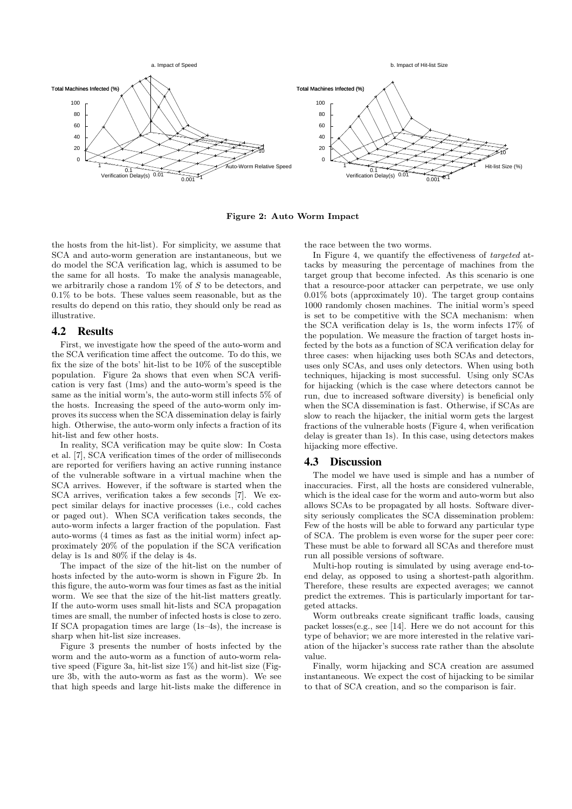

Figure 2: Auto Worm Impact

the hosts from the hit-list). For simplicity, we assume that SCA and auto-worm generation are instantaneous, but we do model the SCA verification lag, which is assumed to be the same for all hosts. To make the analysis manageable, we arbitrarily chose a random  $1\%$  of S to be detectors, and 0.1% to be bots. These values seem reasonable, but as the results do depend on this ratio, they should only be read as illustrative.

## 4.2 Results

First, we investigate how the speed of the auto-worm and the SCA verification time affect the outcome. To do this, we fix the size of the bots' hit-list to be 10% of the susceptible population. Figure 2a shows that even when SCA verification is very fast (1ms) and the auto-worm's speed is the same as the initial worm's, the auto-worm still infects 5% of the hosts. Increasing the speed of the auto-worm only improves its success when the SCA dissemination delay is fairly high. Otherwise, the auto-worm only infects a fraction of its hit-list and few other hosts.

In reality, SCA verification may be quite slow: In Costa et al. [7], SCA verification times of the order of milliseconds are reported for verifiers having an active running instance of the vulnerable software in a virtual machine when the SCA arrives. However, if the software is started when the SCA arrives, verification takes a few seconds [7]. We expect similar delays for inactive processes (i.e., cold caches or paged out). When SCA verification takes seconds, the auto-worm infects a larger fraction of the population. Fast auto-worms (4 times as fast as the initial worm) infect approximately 20% of the population if the SCA verification delay is 1s and 80% if the delay is 4s.

The impact of the size of the hit-list on the number of hosts infected by the auto-worm is shown in Figure 2b. In this figure, the auto-worm was four times as fast as the initial worm. We see that the size of the hit-list matters greatly. If the auto-worm uses small hit-lists and SCA propagation times are small, the number of infected hosts is close to zero. If SCA propagation times are large (1s–4s), the increase is sharp when hit-list size increases.

Figure 3 presents the number of hosts infected by the worm and the auto-worm as a function of auto-worm relative speed (Figure 3a, hit-list size 1%) and hit-list size (Figure 3b, with the auto-worm as fast as the worm). We see that high speeds and large hit-lists make the difference in the race between the two worms.

In Figure 4, we quantify the effectiveness of *targeted* attacks by measuring the percentage of machines from the target group that become infected. As this scenario is one that a resource-poor attacker can perpetrate, we use only 0.01% bots (approximately 10). The target group contains 1000 randomly chosen machines. The initial worm's speed is set to be competitive with the SCA mechanism: when the SCA verification delay is 1s, the worm infects 17% of the population. We measure the fraction of target hosts infected by the bots as a function of SCA verification delay for three cases: when hijacking uses both SCAs and detectors, uses only SCAs, and uses only detectors. When using both techniques, hijacking is most successful. Using only SCAs for hijacking (which is the case where detectors cannot be run, due to increased software diversity) is beneficial only when the SCA dissemination is fast. Otherwise, if SCAs are slow to reach the hijacker, the initial worm gets the largest fractions of the vulnerable hosts (Figure 4, when verification delay is greater than 1s). In this case, using detectors makes hijacking more effective.

#### 4.3 Discussion

The model we have used is simple and has a number of inaccuracies. First, all the hosts are considered vulnerable, which is the ideal case for the worm and auto-worm but also allows SCAs to be propagated by all hosts. Software diversity seriously complicates the SCA dissemination problem: Few of the hosts will be able to forward any particular type of SCA. The problem is even worse for the super peer core: These must be able to forward all SCAs and therefore must run all possible versions of software.

Multi-hop routing is simulated by using average end-toend delay, as opposed to using a shortest-path algorithm. Therefore, these results are expected averages; we cannot predict the extremes. This is particularly important for targeted attacks.

Worm outbreaks create significant traffic loads, causing packet losses(e.g., see [14]. Here we do not account for this type of behavior; we are more interested in the relative variation of the hijacker's success rate rather than the absolute value.

Finally, worm hijacking and SCA creation are assumed instantaneous. We expect the cost of hijacking to be similar to that of SCA creation, and so the comparison is fair.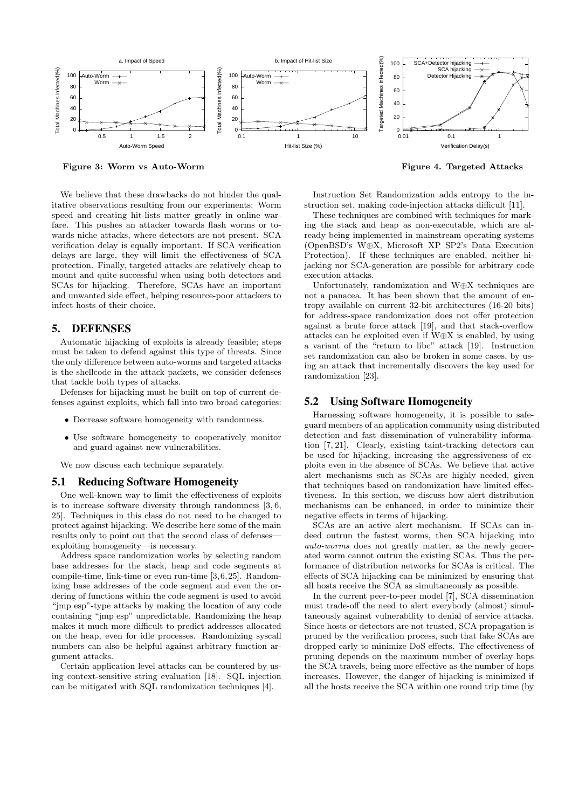

We believe that these drawbacks do not hinder the qualitative observations resulting from our experiments: Worm speed and creating hit-lists matter greatly in online warfare. This pushes an attacker towards flash worms or towards niche attacks, where detectors are not present. SCA verification delay is equally important. If SCA verification delays are large, they will limit the effectiveness of SCA protection. Finally, targeted attacks are relatively cheap to mount and quite successful when using both detectors and SCAs for hijacking. Therefore, SCAs have an important and unwanted side effect, helping resource-poor attackers to infect hosts of their choice.

#### 5. DEFENSES

Automatic hijacking of exploits is already feasible; steps must be taken to defend against this type of threats. Since the only difference between auto-worms and targeted attacks is the shellcode in the attack packets, we consider defenses that tackle both types of attacks.

Defenses for hijacking must be built on top of current defenses against exploits, which fall into two broad categories:

- Decrease software homogeneity with randomness.
- Use software homogeneity to cooperatively monitor and guard against new vulnerabilities.

We now discuss each technique separately.

#### 5.1 Reducing Software Homogeneity

One well-known way to limit the effectiveness of exploits is to increase software diversity through randomness  $\left[3, 6, \right]$ 25]. Techniques in this class do not need to be changed to protect against hijacking. We describe here some of the main results only to point out that the second class of defenses exploiting homogeneity—is necessary.

Address space randomization works by selecting random base addresses for the stack, heap and code segments at compile-time, link-time or even run-time [3,6,25]. Randomizing base addresses of the code segment and even the ordering of functions within the code segment is used to avoid "jmp esp"-type attacks by making the location of any code containing "jmp esp" unpredictable. Randomizing the heap makes it much more difficult to predict addresses allocated on the heap, even for idle processes. Randomizing syscall numbers can also be helpful against arbitrary function argument attacks.

Certain application level attacks can be countered by using context-sensitive string evaluation [18]. SQL injection can be mitigated with SQL randomization techniques [4].

Figure 3: Worm vs Auto-Worm **Figure 4. Targeted Attacks** 

Instruction Set Randomization adds entropy to the instruction set, making code-injection attacks difficult [11].

These techniques are combined with techniques for marking the stack and heap as non-executable, which are already being implemented in mainstream operating systems (OpenBSD's W⊕X, Microsoft XP SP2's Data Execution Protection). If these techniques are enabled, neither hijacking nor SCA-generation are possible for arbitrary code execution attacks.

Unfortunately, randomization and W⊕X techniques are not a panacea. It has been shown that the amount of entropy available on current 32-bit architectures (16-20 bits) for address-space randomization does not offer protection against a brute force attack [19], and that stack-overflow attacks can be exploited even if W⊕X is enabled, by using a variant of the "return to libc" attack [19]. Instruction set randomization can also be broken in some cases, by using an attack that incrementally discovers the key used for randomization [23].

## 5.2 Using Software Homogeneity

Harnessing software homogeneity, it is possible to safeguard members of an application community using distributed detection and fast dissemination of vulnerability information [7, 21]. Clearly, existing taint-tracking detectors can be used for hijacking, increasing the aggressiveness of exploits even in the absence of SCAs. We believe that active alert mechanisms such as SCAs are highly needed, given that techniques based on randomization have limited effectiveness. In this section, we discuss how alert distribution mechanisms can be enhanced, in order to minimize their negative effects in terms of hijacking.

SCAs are an active alert mechanism. If SCAs can indeed outrun the fastest worms, then SCA hijacking into auto-worms does not greatly matter, as the newly generated worm cannot outrun the existing SCAs. Thus the performance of distribution networks for SCAs is critical. The effects of SCA hijacking can be minimized by ensuring that all hosts receive the SCA as simultaneously as possible.

In the current peer-to-peer model [7], SCA dissemination must trade-off the need to alert everybody (almost) simultaneously against vulnerability to denial of service attacks. Since hosts or detectors are not trusted, SCA propagation is pruned by the verification process, such that fake SCAs are dropped early to minimize DoS effects. The effectiveness of pruning depends on the maximum number of overlay hops the SCA travels, being more effective as the number of hops increases. However, the danger of hijacking is minimized if all the hosts receive the SCA within one round trip time (by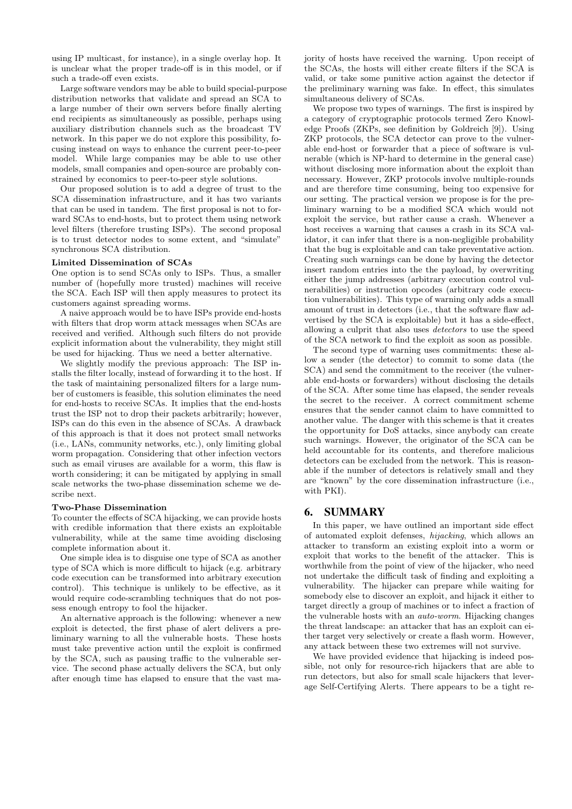using IP multicast, for instance), in a single overlay hop. It is unclear what the proper trade-off is in this model, or if such a trade-off even exists.

Large software vendors may be able to build special-purpose distribution networks that validate and spread an SCA to a large number of their own servers before finally alerting end recipients as simultaneously as possible, perhaps using auxiliary distribution channels such as the broadcast TV network. In this paper we do not explore this possibility, focusing instead on ways to enhance the current peer-to-peer model. While large companies may be able to use other models, small companies and open-source are probably constrained by economics to peer-to-peer style solutions.

Our proposed solution is to add a degree of trust to the SCA dissemination infrastructure, and it has two variants that can be used in tandem. The first proposal is not to forward SCAs to end-hosts, but to protect them using network level filters (therefore trusting ISPs). The second proposal is to trust detector nodes to some extent, and "simulate" synchronous SCA distribution.

#### Limited Dissemination of SCAs

One option is to send SCAs only to ISPs. Thus, a smaller number of (hopefully more trusted) machines will receive the SCA. Each ISP will then apply measures to protect its customers against spreading worms.

A naive approach would be to have ISPs provide end-hosts with filters that drop worm attack messages when SCAs are received and verified. Although such filters do not provide explicit information about the vulnerability, they might still be used for hijacking. Thus we need a better alternative.

We slightly modify the previous approach: The ISP installs the filter locally, instead of forwarding it to the host. If the task of maintaining personalized filters for a large number of customers is feasible, this solution eliminates the need for end-hosts to receive SCAs. It implies that the end-hosts trust the ISP not to drop their packets arbitrarily; however, ISPs can do this even in the absence of SCAs. A drawback of this approach is that it does not protect small networks (i.e., LANs, community networks, etc.), only limiting global worm propagation. Considering that other infection vectors such as email viruses are available for a worm, this flaw is worth considering; it can be mitigated by applying in small scale networks the two-phase dissemination scheme we describe next.

#### Two-Phase Dissemination

To counter the effects of SCA hijacking, we can provide hosts with credible information that there exists an exploitable vulnerability, while at the same time avoiding disclosing complete information about it.

One simple idea is to disguise one type of SCA as another type of SCA which is more difficult to hijack (e.g. arbitrary code execution can be transformed into arbitrary execution control). This technique is unlikely to be effective, as it would require code-scrambling techniques that do not possess enough entropy to fool the hijacker.

An alternative approach is the following: whenever a new exploit is detected, the first phase of alert delivers a preliminary warning to all the vulnerable hosts. These hosts must take preventive action until the exploit is confirmed by the SCA, such as pausing traffic to the vulnerable service. The second phase actually delivers the SCA, but only after enough time has elapsed to ensure that the vast majority of hosts have received the warning. Upon receipt of the SCAs, the hosts will either create filters if the SCA is valid, or take some punitive action against the detector if the preliminary warning was fake. In effect, this simulates simultaneous delivery of SCAs.

We propose two types of warnings. The first is inspired by a category of cryptographic protocols termed Zero Knowledge Proofs (ZKPs, see definition by Goldreich [9]). Using ZKP protocols, the SCA detector can prove to the vulnerable end-host or forwarder that a piece of software is vulnerable (which is NP-hard to determine in the general case) without disclosing more information about the exploit than necessary. However, ZKP protocols involve multiple-rounds and are therefore time consuming, being too expensive for our setting. The practical version we propose is for the preliminary warning to be a modified SCA which would not exploit the service, but rather cause a crash. Whenever a host receives a warning that causes a crash in its SCA validator, it can infer that there is a non-negligible probability that the bug is exploitable and can take preventative action. Creating such warnings can be done by having the detector insert random entries into the the payload, by overwriting either the jump addresses (arbitrary execution control vulnerabilities) or instruction opcodes (arbitrary code execution vulnerabilities). This type of warning only adds a small amount of trust in detectors (i.e., that the software flaw advertised by the SCA is exploitable) but it has a side-effect, allowing a culprit that also uses detectors to use the speed of the SCA network to find the exploit as soon as possible.

The second type of warning uses commitments: these allow a sender (the detector) to commit to some data (the SCA) and send the commitment to the receiver (the vulnerable end-hosts or forwarders) without disclosing the details of the SCA. After some time has elapsed, the sender reveals the secret to the receiver. A correct commitment scheme ensures that the sender cannot claim to have committed to another value. The danger with this scheme is that it creates the opportunity for DoS attacks, since anybody can create such warnings. However, the originator of the SCA can be held accountable for its contents, and therefore malicious detectors can be excluded from the network. This is reasonable if the number of detectors is relatively small and they are "known" by the core dissemination infrastructure (i.e., with PKI).

# 6. SUMMARY

In this paper, we have outlined an important side effect of automated exploit defenses, hijacking, which allows an attacker to transform an existing exploit into a worm or exploit that works to the benefit of the attacker. This is worthwhile from the point of view of the hijacker, who need not undertake the difficult task of finding and exploiting a vulnerability. The hijacker can prepare while waiting for somebody else to discover an exploit, and hijack it either to target directly a group of machines or to infect a fraction of the vulnerable hosts with an auto-worm. Hijacking changes the threat landscape: an attacker that has an exploit can either target very selectively or create a flash worm. However, any attack between these two extremes will not survive.

We have provided evidence that hijacking is indeed possible, not only for resource-rich hijackers that are able to run detectors, but also for small scale hijackers that leverage Self-Certifying Alerts. There appears to be a tight re